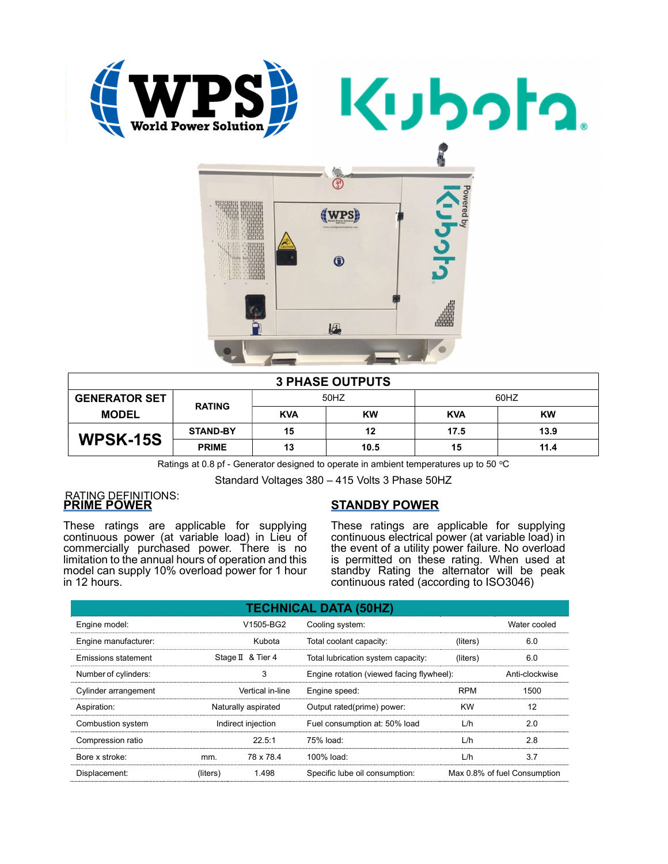



| <b>3 PHASE OUTPUTS</b> |                 |            |           |            |           |  |
|------------------------|-----------------|------------|-----------|------------|-----------|--|
| <b>GENERATOR SET</b>   | <b>RATING</b>   | 50HZ       |           | 60HZ       |           |  |
| <b>MODEL</b>           |                 | <b>KVA</b> | <b>KW</b> | <b>KVA</b> | <b>KW</b> |  |
| <b>WPSK-15S</b>        | <b>STAND-BY</b> | 15         | 12        | 17.5       | 13.9      |  |
|                        | <b>PRIME</b>    | 13         | 10.5      | 15         | 11.4      |  |

Ratings at 0.8 pf - Generator designed to operate in ambient temperatures up to 50 °C

Standard Voltages 380 – 415 Volts 3 Phase 50HZ

# RATING DEFINITIONS: PRIME POWER

These ratings are applicable for supplying continuous power (at variable load) in Lieu of commercially purchased power. There is no limitation to the annual hours of operation and this model can supply 10% overload power for 1 hour in 12 hours.

# STANDBY POWER

These ratings are applicable for supplying continuous electrical power (at variable load) in the event of a utility power failure. No overload is permitted on these rating. When used at standby Rating the alternator will be peak continuous rated (according to ISO3046)

| <b>TECHNICAL DATA (50HZ)</b> |                     |                   |                                           |            |                              |  |  |  |
|------------------------------|---------------------|-------------------|-------------------------------------------|------------|------------------------------|--|--|--|
| Engine model:                |                     | V1505-BG2         | Cooling system:                           |            | Water cooled                 |  |  |  |
| Engine manufacturer:         |                     | Kubota            | Total coolant capacity:                   | (liters)   | 6.0                          |  |  |  |
| Emissions statement          |                     | Stage II & Tier 4 | Total lubrication system capacity:        | (liters)   | 6.0                          |  |  |  |
| Number of cylinders:         |                     | 3                 | Engine rotation (viewed facing flywheel): |            | Anti-clockwise               |  |  |  |
| Cylinder arrangement         |                     | Vertical in-line  | Engine speed:                             | <b>RPM</b> | 1500                         |  |  |  |
| Aspiration:                  | Naturally aspirated |                   | Output rated(prime) power:                | <b>KW</b>  | 12                           |  |  |  |
| Combustion system            | Indirect injection  |                   | Fuel consumption at: 50% load             | L/h        | 2.0                          |  |  |  |
| Compression ratio            |                     | 22.5:1            | 75% load:                                 | L/h        | 2.8                          |  |  |  |
| Bore x stroke:               | mm.                 | 78 x 78.4         | 100% load:                                | L/h        | 3.7                          |  |  |  |
| Displacement:                | (liters)            | 1.498             | Specific lube oil consumption:            |            | Max 0.8% of fuel Consumption |  |  |  |